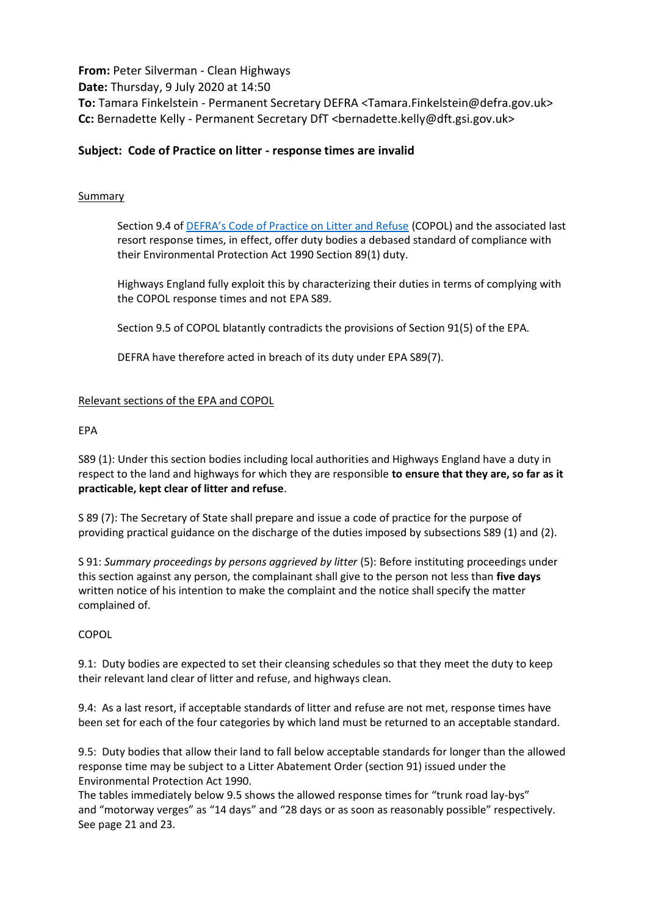**From:** Peter Silverman - Clean Highways **Date:** Thursday, 9 July 2020 at 14:50 **To:** Tamara Finkelstein - Permanent Secretary DEFRA <Tamara.Finkelstein@defra.gov.uk> **Cc:** Bernadette Kelly - Permanent Secretary DfT <bernadette.kelly@dft.gsi.gov.uk>

# **Subject: Code of Practice on litter - response times are invalid**

### Summary

Section 9.4 of [DEFRA's Code of Practice on Litter and Refuse](https://assets.publishing.service.gov.uk/government/uploads/system/uploads/attachment_data/file/834331/pb11577b-cop-litter1.pdf) (COPOL) and the associated last resort response times, in effect, offer duty bodies a debased standard of compliance with their Environmental Protection Act 1990 Section 89(1) duty.

Highways England fully exploit this by characterizing their duties in terms of complying with the COPOL response times and not EPA S89.

Section 9.5 of COPOL blatantly contradicts the provisions of Section 91(5) of the EPA.

DEFRA have therefore acted in breach of its duty under EPA S89(7).

### Relevant sections of the EPA and COPOL

#### EPA

S89 (1): Under this section bodies including local authorities and Highways England have a duty in respect to the land and highways for which they are responsible **to ensure that they are, so far as it practicable, kept clear of litter and refuse**.

S 89 (7): The Secretary of State shall prepare and issue a code of practice for the purpose of providing practical guidance on the discharge of the duties imposed by subsections S89 (1) and (2).

S 91: *Summary proceedings by persons aggrieved by litter* (5): Before instituting proceedings under this section against any person, the complainant shall give to the person not less than **five days** written notice of his intention to make the complaint and the notice shall specify the matter complained of.

#### COPOL

9.1: Duty bodies are expected to set their cleansing schedules so that they meet the duty to keep their relevant land clear of litter and refuse, and highways clean.

9.4: As a last resort, if acceptable standards of litter and refuse are not met, response times have been set for each of the four categories by which land must be returned to an acceptable standard.

9.5: Duty bodies that allow their land to fall below acceptable standards for longer than the allowed response time may be subject to a Litter Abatement Order (section 91) issued under the Environmental Protection Act 1990.

The tables immediately below 9.5 shows the allowed response times for "trunk road lay-bys" and "motorway verges" as "14 days" and "28 days or as soon as reasonably possible" respectively. See page 21 and 23.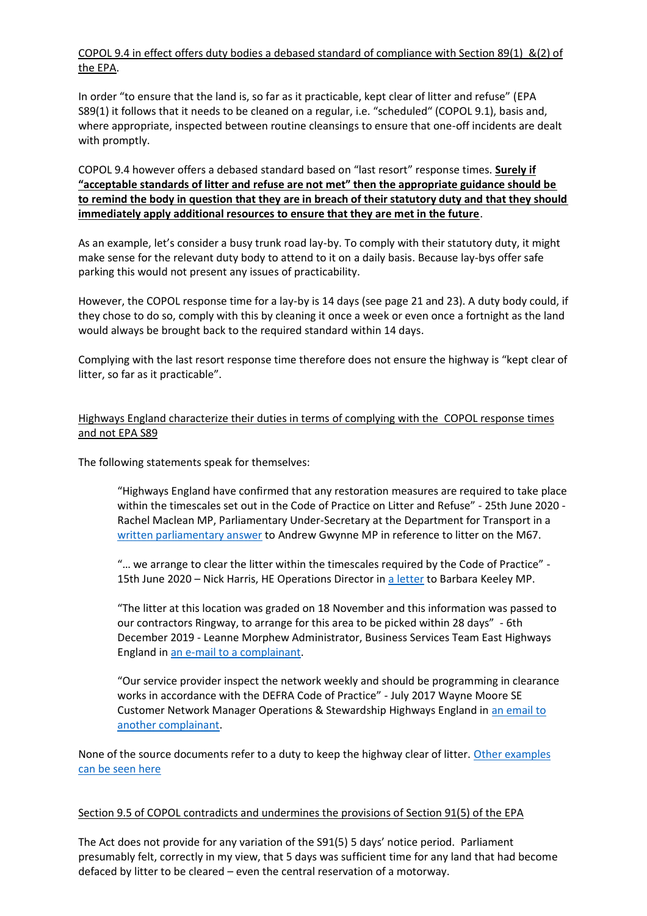# COPOL 9.4 in effect offers duty bodies a debased standard of compliance with Section 89(1) &(2) of the EPA.

In order "to ensure that the land is, so far as it practicable, kept clear of litter and refuse" (EPA S89(1) it follows that it needs to be cleaned on a regular, i.e. "scheduled" (COPOL 9.1), basis and, where appropriate, inspected between routine cleansings to ensure that one-off incidents are dealt with promptly.

COPOL 9.4 however offers a debased standard based on "last resort" response times. **Surely if "acceptable standards of litter and refuse are not met" then the appropriate guidance should be to remind the body in question that they are in breach of their statutory duty and that they should immediately apply additional resources to ensure that they are met in the future**.

As an example, let's consider a busy trunk road lay-by. To comply with their statutory duty, it might make sense for the relevant duty body to attend to it on a daily basis. Because lay-bys offer safe parking this would not present any issues of practicability.

However, the COPOL response time for a lay-by is 14 days (see page 21 and 23). A duty body could, if they chose to do so, comply with this by cleaning it once a week or even once a fortnight as the land would always be brought back to the required standard within 14 days.

Complying with the last resort response time therefore does not ensure the highway is "kept clear of litter, so far as it practicable".

## Highways England characterize their duties in terms of complying with the COPOL response times and not EPA S89

The following statements speak for themselves:

"Highways England have confirmed that any restoration measures are required to take place within the timescales set out in the Code of Practice on Litter and Refuse" - 25th June 2020 - Rachel Maclean MP, Parliamentary Under-Secretary at the Department for Transport in a [written parliamentary answer](https://www.theyworkforyou.com/wrans/?id=2020-06-17.60713.h&s=litter) to Andrew Gwynne MP in reference to litter on the M67.

"… we arrange to clear the litter within the timescales required by the Code of Practice" - 15th June 2020 – Nick Harris, HE Operations Director in [a letter](https://www.cleanhighways.co.uk/wp-content/uploads/2020/06/HE-to-B-Keeley-MP-.pdf) to Barbara Keeley MP.

"The litter at this location was graded on 18 November and this information was passed to our contractors Ringway, to arrange for this area to be picked within 28 days" - 6th December 2019 - Leanne Morphew Administrator, Business Services Team East Highways England in [an e-mail to a complainant.](https://www.cleanhighways.co.uk/wp-content/uploads/2019/12/HE-6-Dec-2019.pdf)

"Our service provider inspect the network weekly and should be programming in clearance works in accordance with the DEFRA Code of Practice" - July 2017 Wayne Moore SE Customer Network Manager Operations & Stewardship Highways England in [an email to](https://www.cleanhighways.co.uk/wp-content/uploads/2017/01/HE-to-D-Basson-M£-Litter-Code.pdf)  [another complainant.](https://www.cleanhighways.co.uk/wp-content/uploads/2017/01/HE-to-D-Basson-M£-Litter-Code.pdf)

None of the source documents refer to a duty to keep the highway clear of litter. Other examples [can be seen here](https://www.cleanhighways.co.uk/m25/litter-code-of-practice-m25)

#### Section 9.5 of COPOL contradicts and undermines the provisions of Section 91(5) of the EPA

The Act does not provide for any variation of the S91(5) 5 days' notice period. Parliament presumably felt, correctly in my view, that 5 days was sufficient time for any land that had become defaced by litter to be cleared – even the central reservation of a motorway.